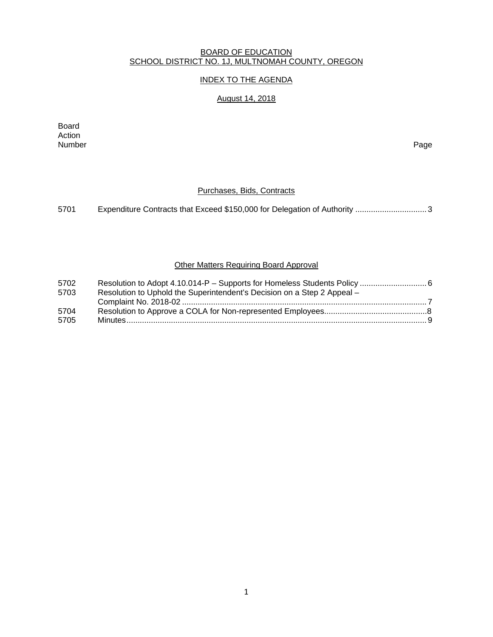#### BOARD OF EDUCATION SCHOOL DISTRICT NO. 1J, MULTNOMAH COUNTY, OREGON

## INDEX TO THE AGENDA

# August 14, 2018

Board Action<br>Number Number Page

### Purchases, Bids, Contracts

5701 Expenditure Contracts that Exceed \$150,000 for Delegation of Authority ................................ 3

#### **Other Matters Requiring Board Approval**

| 5702 |                                                                         |  |
|------|-------------------------------------------------------------------------|--|
| 5703 | Resolution to Uphold the Superintendent's Decision on a Step 2 Appeal - |  |
|      |                                                                         |  |
| 5704 |                                                                         |  |
| 5705 |                                                                         |  |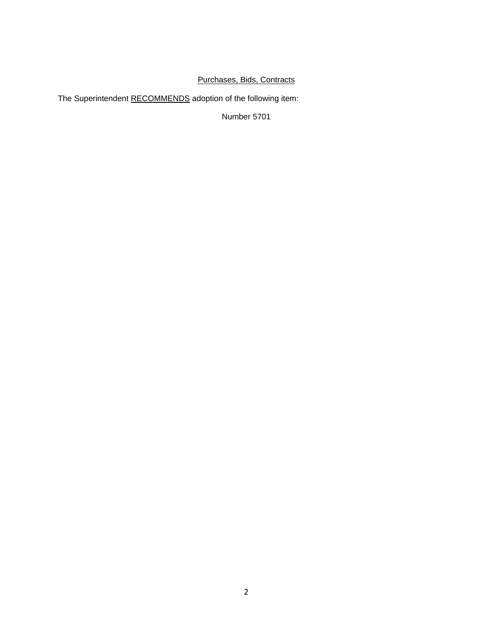# Purchases, Bids, Contracts

The Superintendent RECOMMENDS adoption of the following item:

Number 5701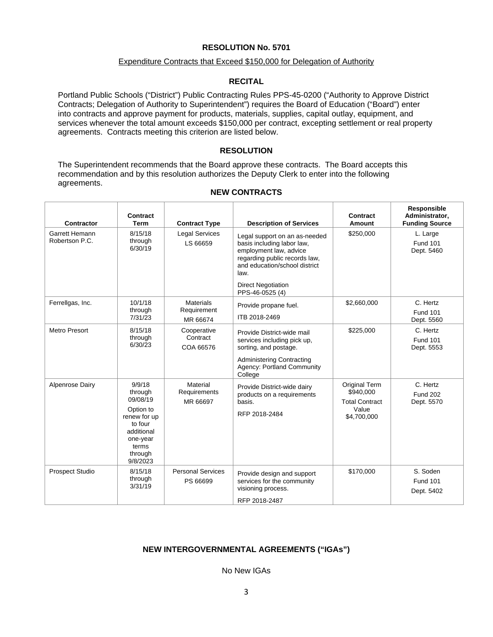#### **RESOLUTION No. 5701**

#### Expenditure Contracts that Exceed \$150,000 for Delegation of Authority

#### **RECITAL**

Portland Public Schools ("District") Public Contracting Rules PPS-45-0200 ("Authority to Approve District Contracts; Delegation of Authority to Superintendent") requires the Board of Education ("Board") enter into contracts and approve payment for products, materials, supplies, capital outlay, equipment, and services whenever the total amount exceeds \$150,000 per contract, excepting settlement or real property agreements. Contracts meeting this criterion are listed below.

#### **RESOLUTION**

The Superintendent recommends that the Board approve these contracts. The Board accepts this recommendation and by this resolution authorizes the Deputy Clerk to enter into the following agreements.

| Contractor                       | Contract<br><b>Term</b>                                                                                                         | <b>Contract Type</b>                        | <b>Description of Services</b>                                                                                                                                                                                  | Contract<br>Amount                                                          | Responsible<br>Administrator,<br><b>Funding Source</b> |
|----------------------------------|---------------------------------------------------------------------------------------------------------------------------------|---------------------------------------------|-----------------------------------------------------------------------------------------------------------------------------------------------------------------------------------------------------------------|-----------------------------------------------------------------------------|--------------------------------------------------------|
| Garrett Hemann<br>Robertson P.C. | 8/15/18<br>through<br>6/30/19                                                                                                   | <b>Legal Services</b><br>LS 66659           | Legal support on an as-needed<br>basis including labor law,<br>employment law, advice<br>regarding public records law,<br>and education/school district<br>law.<br><b>Direct Negotiation</b><br>PPS-46-0525 (4) | \$250,000                                                                   | L. Large<br><b>Fund 101</b><br>Dept. 5460              |
| Ferrellgas, Inc.                 | 10/1/18<br>through<br>7/31/23                                                                                                   | <b>Materials</b><br>Requirement<br>MR 66674 | Provide propane fuel.<br>ITB 2018-2469                                                                                                                                                                          | \$2,660,000                                                                 | C. Hertz<br><b>Fund 101</b><br>Dept. 5560              |
| <b>Metro Presort</b>             | 8/15/18<br>through<br>6/30/23                                                                                                   | Cooperative<br>Contract<br>COA 66576        | Provide District-wide mail<br>services including pick up,<br>sorting, and postage.<br>Administering Contracting<br>Agency: Portland Community<br>College                                                        | \$225,000                                                                   | C. Hertz<br><b>Fund 101</b><br>Dept. 5553              |
| Alpenrose Dairy                  | 9/9/18<br>through<br>09/08/19<br>Option to<br>renew for up<br>to four<br>additional<br>one-year<br>terms<br>through<br>9/8/2023 | Material<br>Requirements<br>MR 66697        | Provide District-wide dairy<br>products on a requirements<br>basis.<br>RFP 2018-2484                                                                                                                            | Original Term<br>\$940,000<br><b>Total Contract</b><br>Value<br>\$4,700,000 | C. Hertz<br><b>Fund 202</b><br>Dept. 5570              |
| <b>Prospect Studio</b>           | 8/15/18<br>through<br>3/31/19                                                                                                   | <b>Personal Services</b><br>PS 66699        | Provide design and support<br>services for the community<br>visioning process.<br>RFP 2018-2487                                                                                                                 | \$170,000                                                                   | S. Soden<br><b>Fund 101</b><br>Dept. 5402              |

#### **NEW CONTRACTS**

#### **NEW INTERGOVERNMENTAL AGREEMENTS ("IGAs")**

No New IGAs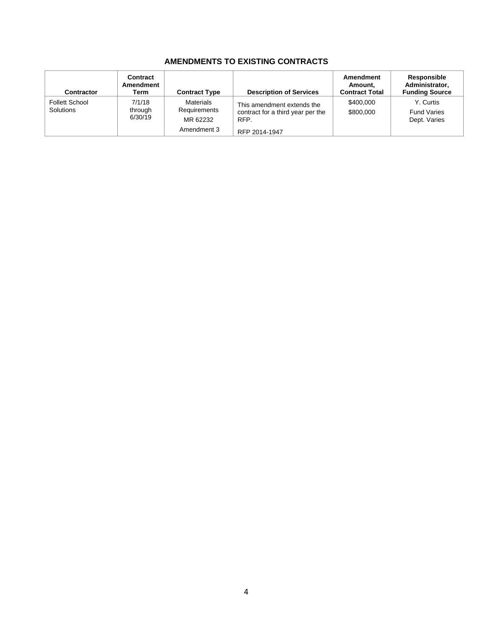## **AMENDMENTS TO EXISTING CONTRACTS**

| Contractor                         | Contract<br>Amendment<br>Term | <b>Contract Type</b>                                        | <b>Description of Services</b>                                                           | Amendment<br>Amount,<br><b>Contract Total</b> | Responsible<br>Administrator,<br><b>Funding Source</b> |
|------------------------------------|-------------------------------|-------------------------------------------------------------|------------------------------------------------------------------------------------------|-----------------------------------------------|--------------------------------------------------------|
| <b>Follett School</b><br>Solutions | 7/1/18<br>through<br>6/30/19  | <b>Materials</b><br>Requirements<br>MR 62232<br>Amendment 3 | This amendment extends the<br>contract for a third year per the<br>RFP.<br>RFP 2014-1947 | \$400,000<br>\$800,000                        | Y. Curtis<br><b>Fund Varies</b><br>Dept. Varies        |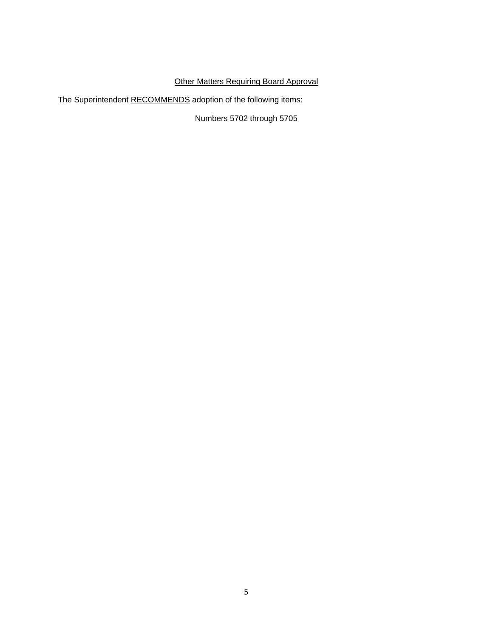# **Other Matters Requiring Board Approval**

The Superintendent RECOMMENDS adoption of the following items:

Numbers 5702 through 5705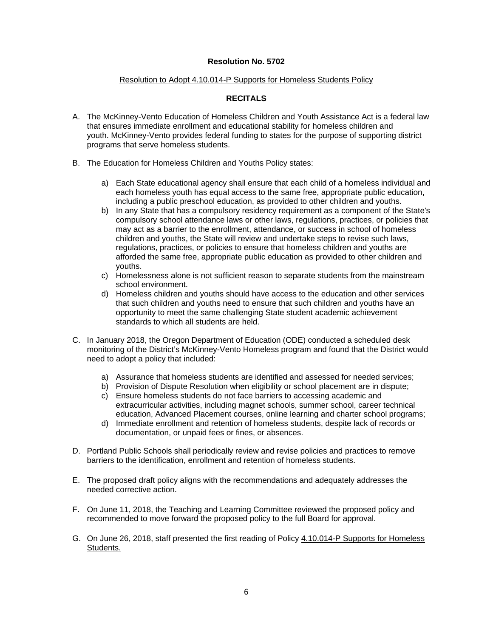#### **Resolution No. 5702**

#### Resolution to Adopt 4.10.014-P Supports for Homeless Students Policy

### **RECITALS**

- A. The McKinney-Vento Education of Homeless Children and Youth Assistance Act is a federal law that ensures immediate enrollment and educational stability for homeless children and youth. McKinney-Vento provides federal funding to states for the purpose of supporting district programs that serve homeless students.
- B. The Education for Homeless Children and Youths Policy states:
	- a) Each State educational agency shall ensure that each child of a homeless individual and each homeless youth has equal access to the same free, appropriate public education, including a public preschool education, as provided to other children and youths.
	- b) In any State that has a compulsory residency requirement as a component of the State's compulsory school attendance laws or other laws, regulations, practices, or policies that may act as a barrier to the enrollment, attendance, or success in school of homeless children and youths, the State will review and undertake steps to revise such laws, regulations, practices, or policies to ensure that homeless children and youths are afforded the same free, appropriate public education as provided to other children and youths.
	- c) Homelessness alone is not sufficient reason to separate students from the mainstream school environment.
	- d) Homeless children and youths should have access to the education and other services that such children and youths need to ensure that such children and youths have an opportunity to meet the same challenging State student academic achievement standards to which all students are held.
- C. In January 2018, the Oregon Department of Education (ODE) conducted a scheduled desk monitoring of the District's McKinney-Vento Homeless program and found that the District would need to adopt a policy that included:
	- a) Assurance that homeless students are identified and assessed for needed services;
	- b) Provision of Dispute Resolution when eligibility or school placement are in dispute;
	- c) Ensure homeless students do not face barriers to accessing academic and extracurricular activities, including magnet schools, summer school, career technical education, Advanced Placement courses, online learning and charter school programs;
	- d) Immediate enrollment and retention of homeless students, despite lack of records or documentation, or unpaid fees or fines, or absences.
- D. Portland Public Schools shall periodically review and revise policies and practices to remove barriers to the identification, enrollment and retention of homeless students.
- E. The proposed draft policy aligns with the recommendations and adequately addresses the needed corrective action.
- F. On June 11, 2018, the Teaching and Learning Committee reviewed the proposed policy and recommended to move forward the proposed policy to the full Board for approval.
- G. On June 26, 2018, staff presented the first reading of Policy 4.10.014-P Supports for Homeless Students.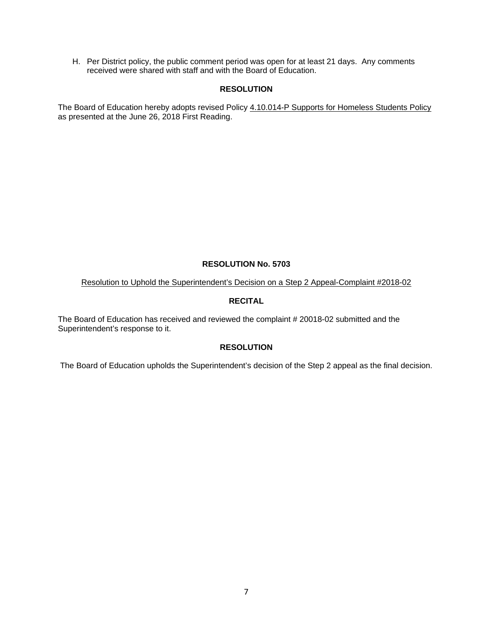H. Per District policy, the public comment period was open for at least 21 days. Any comments received were shared with staff and with the Board of Education.

### **RESOLUTION**

The Board of Education hereby adopts revised Policy 4.10.014-P Supports for Homeless Students Policy as presented at the June 26, 2018 First Reading.

#### **RESOLUTION No. 5703**

Resolution to Uphold the Superintendent's Decision on a Step 2 Appeal-Complaint #2018-02

### **RECITAL**

The Board of Education has received and reviewed the complaint # 20018-02 submitted and the Superintendent's response to it.

### **RESOLUTION**

The Board of Education upholds the Superintendent's decision of the Step 2 appeal as the final decision.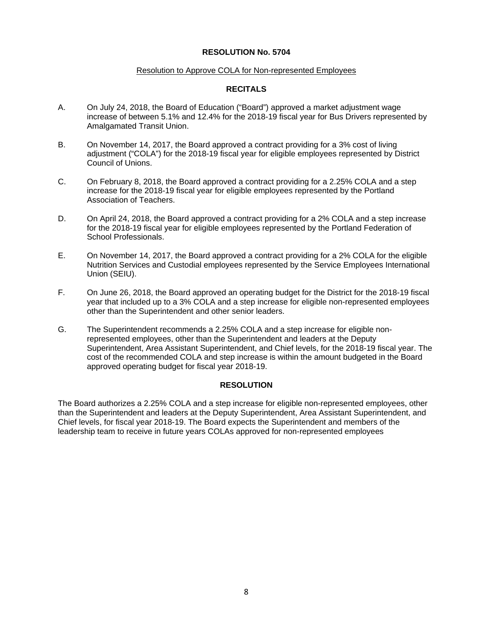#### **RESOLUTION No. 5704**

#### Resolution to Approve COLA for Non-represented Employees

### **RECITALS**

- A. On July 24, 2018, the Board of Education ("Board") approved a market adjustment wage increase of between 5.1% and 12.4% for the 2018-19 fiscal year for Bus Drivers represented by Amalgamated Transit Union.
- B. On November 14, 2017, the Board approved a contract providing for a 3% cost of living adjustment ("COLA") for the 2018-19 fiscal year for eligible employees represented by District Council of Unions.
- C. On February 8, 2018, the Board approved a contract providing for a 2.25% COLA and a step increase for the 2018-19 fiscal year for eligible employees represented by the Portland Association of Teachers.
- D. On April 24, 2018, the Board approved a contract providing for a 2% COLA and a step increase for the 2018-19 fiscal year for eligible employees represented by the Portland Federation of School Professionals.
- E. On November 14, 2017, the Board approved a contract providing for a 2% COLA for the eligible Nutrition Services and Custodial employees represented by the Service Employees International Union (SEIU).
- F. On June 26, 2018, the Board approved an operating budget for the District for the 2018-19 fiscal year that included up to a 3% COLA and a step increase for eligible non-represented employees other than the Superintendent and other senior leaders.
- G. The Superintendent recommends a 2.25% COLA and a step increase for eligible nonrepresented employees, other than the Superintendent and leaders at the Deputy Superintendent, Area Assistant Superintendent, and Chief levels, for the 2018-19 fiscal year. The cost of the recommended COLA and step increase is within the amount budgeted in the Board approved operating budget for fiscal year 2018-19.

### **RESOLUTION**

The Board authorizes a 2.25% COLA and a step increase for eligible non-represented employees, other than the Superintendent and leaders at the Deputy Superintendent, Area Assistant Superintendent, and Chief levels, for fiscal year 2018-19. The Board expects the Superintendent and members of the leadership team to receive in future years COLAs approved for non-represented employees